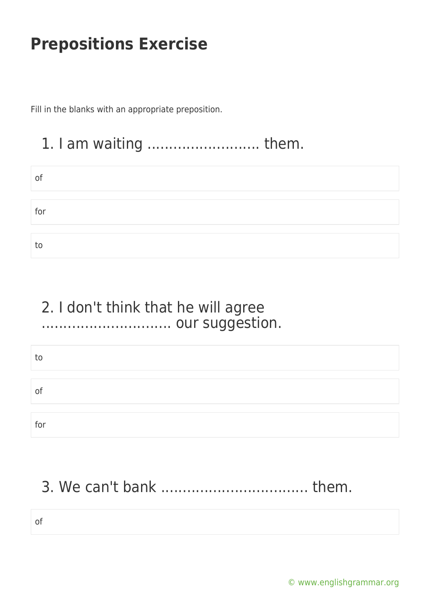Fill in the blanks with an appropriate preposition.

#### 1. I am waiting .......................... them.

| of  |  |  |
|-----|--|--|
|     |  |  |
|     |  |  |
| for |  |  |
|     |  |  |
|     |  |  |
| to  |  |  |

#### 2. I don't think that he will agree .............................. our suggestion.

| to           |  |  |
|--------------|--|--|
|              |  |  |
|              |  |  |
| $\mathbf{O}$ |  |  |
|              |  |  |
|              |  |  |
| for          |  |  |

## 3. We can't bank .................................. them.

of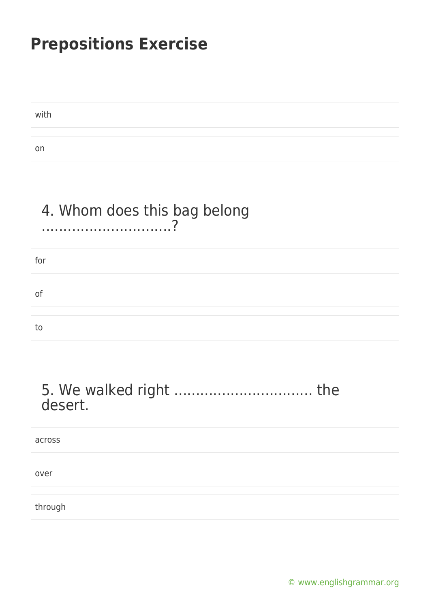with on

#### 4. Whom does this bag belong

# for of to

#### desert.

| across  |  |
|---------|--|
|         |  |
| over    |  |
|         |  |
| through |  |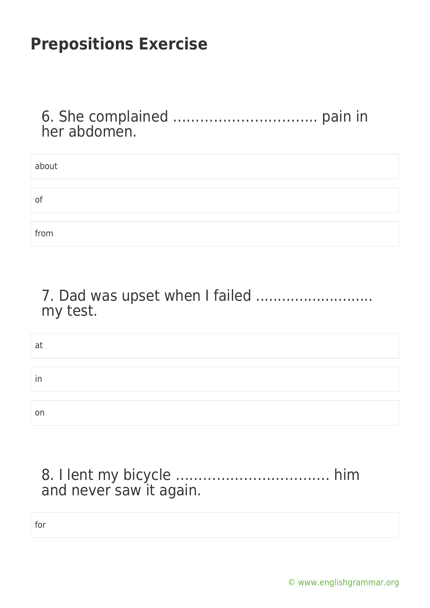6. She complained ………………………….. pain in her abdomen.

| about |  |
|-------|--|
|       |  |
| of    |  |
|       |  |
| from  |  |

7. Dad was upset when I failed ........................... my test.

| at |  |  |  |
|----|--|--|--|
|    |  |  |  |
| ın |  |  |  |
|    |  |  |  |
| on |  |  |  |

8. I lent my bicycle ……………………………. him and never saw it again.

for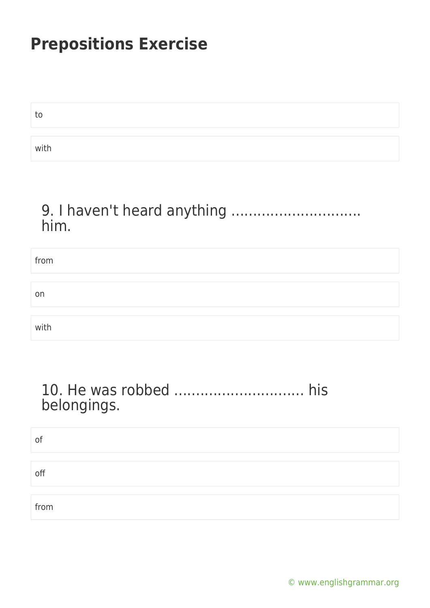| το   |  |  |
|------|--|--|
|      |  |  |
| with |  |  |

#### 9. I haven't heard anything .............................. him.

| from |  |
|------|--|
|      |  |
| on   |  |
|      |  |
| with |  |

#### 10. He was robbed .............................. his belongings.

| of   |  |  |
|------|--|--|
| off  |  |  |
| from |  |  |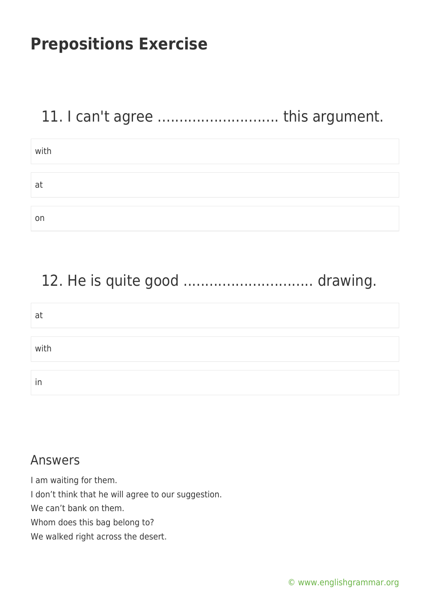## 11. I can't agree ............................ this argument.

| with |  |
|------|--|
|      |  |
| at   |  |
|      |  |
| on   |  |

## 12. He is quite good .............................. drawing.

| at   |  |
|------|--|
|      |  |
| with |  |
|      |  |
| In   |  |

#### Answers

I am waiting for them. I don't think that he will agree to our suggestion. We can't bank on them. Whom does this bag belong to? We walked right across the desert.